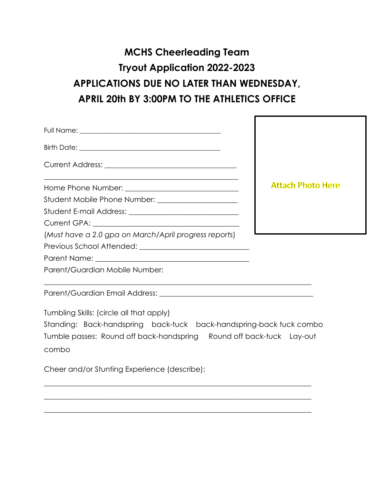# **MCHS Cheerleading Team Tryout Application 2022-2023 APPLICATIONS DUE NO LATER THAN WEDNESDAY, APRIL 20th BY 3:00PM TO THE ATHLETICS OFFICE**

| <u> 1989 - Johann John Stone, mars and deutscher Stone († 1989)</u> | <b>Attach Photo Here</b> |
|---------------------------------------------------------------------|--------------------------|
|                                                                     |                          |
|                                                                     |                          |
|                                                                     |                          |
| (Must have a 2.0 gpa on March/April progress reports)               |                          |
|                                                                     |                          |
| Parent/Guardian Mobile Number:                                      |                          |
|                                                                     |                          |
| Tumbling Skills: (circle all that apply)                            |                          |

|       |  | Standing: Back-handspring back-tuck back-handspring-back-tuck-combo  |  |
|-------|--|----------------------------------------------------------------------|--|
|       |  | Tumble passes: Round off back-handspring Round off back-tuck Lay-out |  |
| combo |  |                                                                      |  |

 $\overline{\phantom{a}}$  , and the contribution of the contribution of the contribution of the contribution of the contribution of the contribution of the contribution of the contribution of the contribution of the contribution of the

 $\_$  , and the set of the set of the set of the set of the set of the set of the set of the set of the set of the set of the set of the set of the set of the set of the set of the set of the set of the set of the set of th

 $\_$  , and the set of the set of the set of the set of the set of the set of the set of the set of the set of the set of the set of the set of the set of the set of the set of the set of the set of the set of the set of th

Cheer and/or Stunting Experience (describe):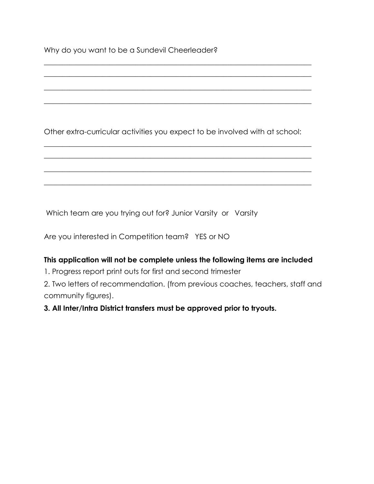Why do you want to be a Sundevil Cheerleader?

Other extra-curricular activities you expect to be involved with at school:

 $\_$  , and the set of the set of the set of the set of the set of the set of the set of the set of the set of the set of the set of the set of the set of the set of the set of the set of the set of the set of the set of th  $\_$  , and the set of the set of the set of the set of the set of the set of the set of the set of the set of the set of the set of the set of the set of the set of the set of the set of the set of the set of the set of th

 $\_$  , and the set of the set of the set of the set of the set of the set of the set of the set of the set of the set of the set of the set of the set of the set of the set of the set of the set of the set of the set of th

 $\_$  , and the set of the set of the set of the set of the set of the set of the set of the set of the set of the set of the set of the set of the set of the set of the set of the set of the set of the set of the set of th

 $\_$  , and the set of the set of the set of the set of the set of the set of the set of the set of the set of the set of the set of the set of the set of the set of the set of the set of the set of the set of the set of th  $\_$  , and the set of the set of the set of the set of the set of the set of the set of the set of the set of the set of the set of the set of the set of the set of the set of the set of the set of the set of the set of th

 $\_$  , and the set of the set of the set of the set of the set of the set of the set of the set of the set of the set of the set of the set of the set of the set of the set of the set of the set of the set of the set of th

 $\_$  , and the set of the set of the set of the set of the set of the set of the set of the set of the set of the set of the set of the set of the set of the set of the set of the set of the set of the set of the set of th

Which team are you trying out for? Junior Varsity or Varsity

Are you interested in Competition team? YES or NO

## **This application will not be complete unless the following items are included**

1. Progress report print outs for first and second trimester

2. Two letters of recommendation. (from previous coaches, teachers, staff and community figures).

**3. All Inter/Intra District transfers must be approved prior to tryouts.**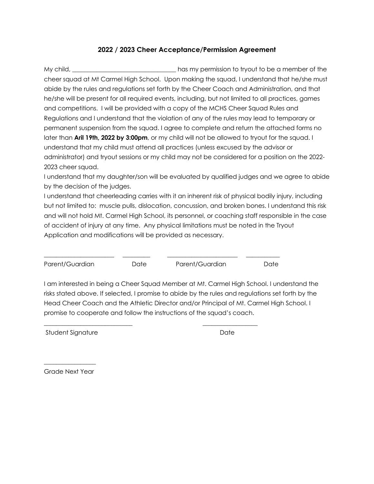## **2022 / 2023 Cheer Acceptance/Permission Agreement**

My child, \_\_\_\_\_\_\_\_\_\_\_\_\_\_\_\_\_\_\_\_\_\_\_\_\_\_\_\_\_\_\_\_\_\_has my permission to tryout to be a member of the cheer squad at Mt Carmel High School. Upon making the squad, I understand that he/she must abide by the rules and regulations set forth by the Cheer Coach and Administration, and that he/she will be present for all required events, including, but not limited to all practices, games and competitions. I will be provided with a copy of the MCHS Cheer Squad Rules and Regulations and I understand that the violation of any of the rules may lead to temporary or permanent suspension from the squad. I agree to complete and return the attached forms no later than **Aril 19th, 2022 by 3:00pm**, or my child will not be allowed to tryout for the squad. I understand that my child must attend all practices (unless excused by the advisor or administrator) and tryout sessions or my child may not be considered for a position on the 2022- 2023 cheer squad.

I understand that my daughter/son will be evaluated by qualified judges and we agree to abide by the decision of the judges.

I understand that cheerleading carries with it an inherent risk of physical bodily injury, including but not limited to: muscle pulls, dislocation, concussion, and broken bones. I understand this risk and will not hold Mt. Carmel High School, its personnel, or coaching staff responsible in the case of accident of injury at any time. Any physical limitations must be noted in the Tryout Application and modifications will be provided as necessary.

| Parent/Guardian | Date | Parent/Guardian | Date |
|-----------------|------|-----------------|------|

**\_\_\_\_\_\_\_\_\_\_\_\_\_\_\_\_\_\_\_\_\_\_\_\_\_\_\_\_\_ \_\_\_\_\_\_\_\_\_\_\_\_\_\_\_\_\_\_** 

I am interested in being a Cheer Squad Member at Mt. Carmel High School. I understand the risks stated above. If selected, I promise to abide by the rules and regulations set forth by the Head Cheer Coach and the Athletic Director and/or Principal of Mt. Carmel High School. I promise to cooperate and follow the instructions of the squad's coach.

Student Signature Date Date

 $\overline{\phantom{a}}$  , where  $\overline{\phantom{a}}$ Grade Next Year